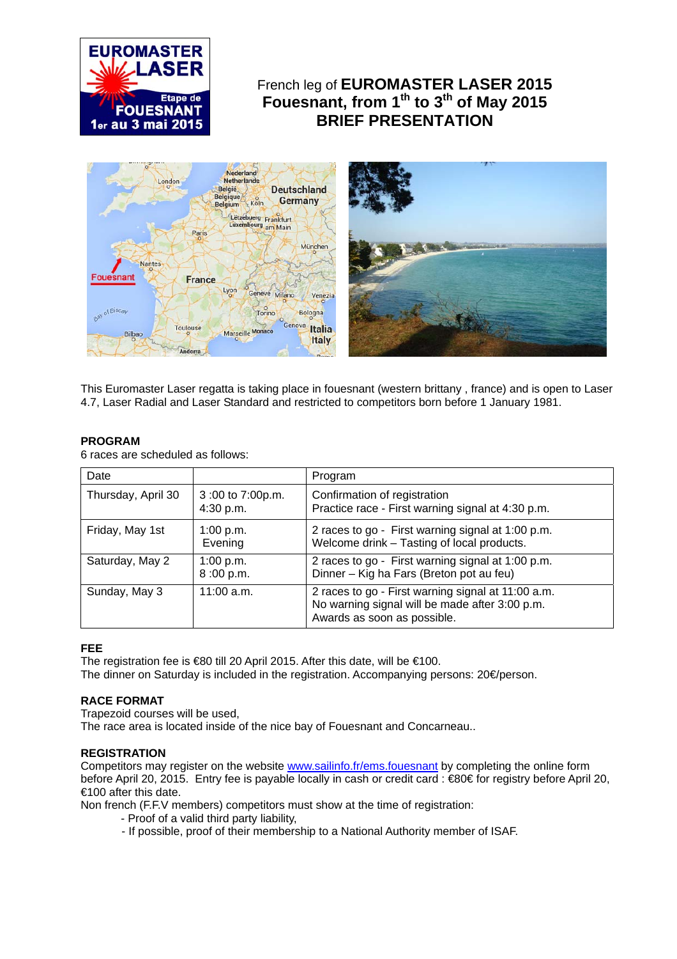

# French leg of **EUROMASTER LASER 2015 Fouesnant, from 1th to 3th of May 2015 BRIEF PRESENTATION**



This Euromaster Laser regatta is taking place in fouesnant (western brittany , france) and is open to Laser 4.7, Laser Radial and Laser Standard and restricted to competitors born before 1 January 1981.

#### **PROGRAM**

6 races are scheduled as follows:

| Date               |                               | Program                                                                                                                             |
|--------------------|-------------------------------|-------------------------------------------------------------------------------------------------------------------------------------|
| Thursday, April 30 | 3:00 to 7:00p.m.<br>4:30 p.m. | Confirmation of registration<br>Practice race - First warning signal at 4:30 p.m.                                                   |
| Friday, May 1st    | 1:00 p.m.<br>Evening          | 2 races to go - First warning signal at 1:00 p.m.<br>Welcome drink - Tasting of local products.                                     |
| Saturday, May 2    | 1:00 p.m.<br>8:00 p.m.        | 2 races to go - First warning signal at 1:00 p.m.<br>Dinner - Kig ha Fars (Breton pot au feu)                                       |
| Sunday, May 3      | $11:00$ a.m.                  | 2 races to go - First warning signal at 11:00 a.m.<br>No warning signal will be made after 3:00 p.m.<br>Awards as soon as possible. |

#### **FEE**

The registration fee is €80 till 20 April 2015. After this date, will be €100. The dinner on Saturday is included in the registration. Accompanying persons: 20€/person.

# **RACE FORMAT**

Trapezoid courses will be used, The race area is located inside of the nice bay of Fouesnant and Concarneau..

#### **REGISTRATION**

Competitors may register on the website [www.sailinfo.fr/ems.fouesnant by](http://www.sailinfo.fr/ems.fouesnant) completing the online form before April 20, 2015. Entry fee is payable locally in cash or credit card : €80€ for registry before April 20, €100 after this date.

Non french (F.F.V members) competitors must show at the time of registration:

- Proof of a valid third party liability,
- If possible, proof of their membership to a National Authority member of ISAF.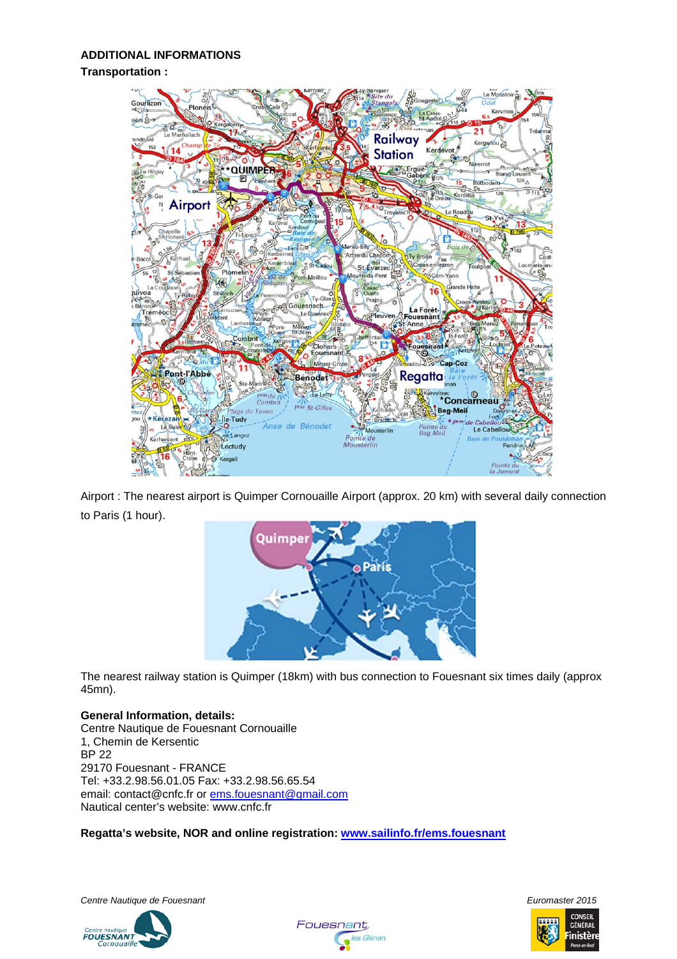# **ADDITIONAL INFORMATIONS**

# **Transportation :**



Airport : The nearest airport is Quimper Cornouaille Airport (approx. 20 km) with several daily connection to Paris (1 hour).



The nearest railway station is Quimper (18km) with bus connection to Fouesnant six times daily (approx 45mn).

# **General Information, details:**

Centre Nautique de Fouesnant Cornouaille 1, Chemin de Kersentic BP 22 29170 Fouesnant - FRANCE Tel: +33.2.98.56.01.05 Fax: +33.2.98.56.65.54 email: [contact@cnfc.fr or](mailto:contact@cnfc.fr) ems[.fouesnant@gmail.com](mailto:fouesnant@gmail.com)  Nautical center's website: [www.cnfc.fr](http://www.cnfc.fr) 

# **Regatta's website, NOR and online registration: [www.sailinfo.fr/ems.fouesnant](http://www.sailinfo.fr/ems.fouesnant)**

*Centre Nautique de Fouesnant Euromaster 2015*